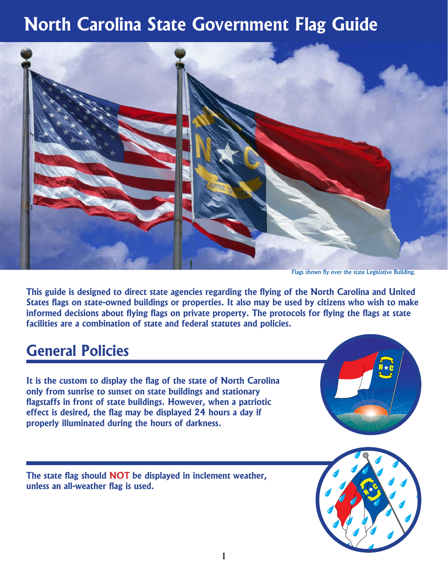# **North Carolina State Government Flag Guide**



Flags shown fly over the state Legislative Building.

**This guide is designed to direct state agencies regarding the flying of the North Carolina and United States flags on state-owned buildings or properties. It also may be used by citizens who wish to make informed decisions about flying flags on private property. The protocols for flying the flags at state facilities are a combination of state and federal statutes and policies.** 

#### **General Policies**

**It is the custom to display the flag of the state of North Carolina only from sunrise to sunset on state buildings and stationary flagstaffs in front of state buildings. However, when a patriotic effect is desired, the flag may be displayed 24 hours a day if properly illuminated during the hours of darkness.** 

**The state flag should NOT be displayed in inclement weather, unless an all-weather flag is used.** 



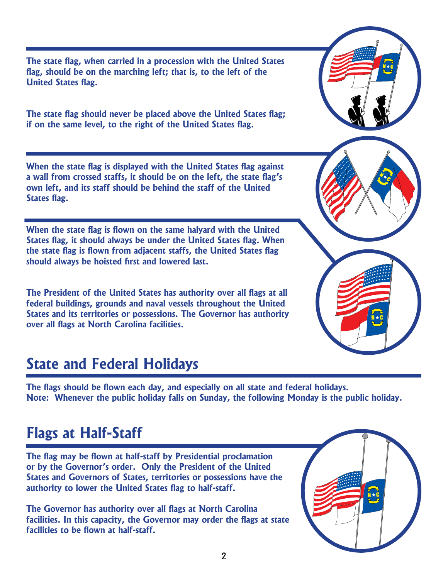**The state flag, when carried in a procession with the United States flag, should be on the marching left; that is, to the left of the United States flag.** 

**The state flag should never be placed above the United States flag; if on the same level, to the right of the United States flag.**

**When the state flag is displayed with the United States flag against a wall from crossed staffs, it should be on the left, the state flag's own left, and its staff should be behind the staff of the United States flag.**

**When the state flag is flown on the same halyard with the United States flag, it should always be under the United States flag. When the state flag is flown from adjacent staffs, the United States flag should always be hoisted first and lowered last.** 

**The President of the United States has authority over all flags at all federal buildings, grounds and naval vessels throughout the United States and its territories or possessions. The Governor has authority over all flags at North Carolina facilities.** 

## **State and Federal Holidays**

**The flags should be flown each day, and especially on all state and federal holidays. Note: Whenever the public holiday falls on Sunday, the following Monday is the public holiday.**

## **Flags at Half-Staff**

**The flag may be flown at half-staff by Presidential proclamation or by the Governor's order. Only the President of the United States and Governors of States, territories or possessions have the authority to lower the United States flag to half-staff.**

**The Governor has authority over all flags at North Carolina facilities. In this capacity, the Governor may order the flags at state facilities to be flown at half-staff.** 



NN∗C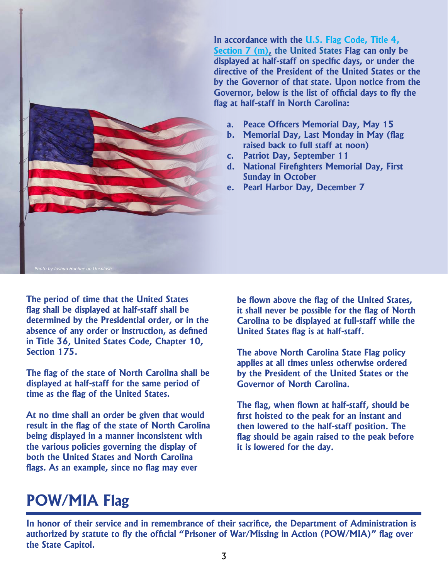

**In accordance with the [U.S.](https://uscode.house.gov/view.xhtml?req=granuleid%3AUSC-prelim-title4-chapter1&saved=%7CZ3JhbnVsZWlkOlVTQy1wcmVsaW0tdGl0bGU0LXNlY3Rpb242%7C%7C%7C0%7Cfalse%7Cprelim&edition=prelim) [Flag Code, Title 4,](https://uscode.house.gov/view.xhtml?req=granuleid%3AUSC-prelim-title4-chapter1&saved=%7CZ3JhbnVsZWlkOlVTQy1wcmVsaW0tdGl0bGU0LXNlY3Rpb242%7C%7C%7C0%7Cfalse%7Cprelim&edition=prelim)  [Section 7](https://uscode.house.gov/view.xhtml?req=granuleid%3AUSC-prelim-title4-chapter1&saved=%7CZ3JhbnVsZWlkOlVTQy1wcmVsaW0tdGl0bGU0LXNlY3Rpb242%7C%7C%7C0%7Cfalse%7Cprelim&edition=prelim) (m)[, the United States](https://uscode.house.gov/view.xhtml?req=granuleid%3AUSC-prelim-title4-chapter1&saved=%7CZ3JhbnVsZWlkOlVTQy1wcmVsaW0tdGl0bGU0LXNlY3Rpb242%7C%7C%7C0%7Cfalse%7Cprelim&edition=prelim) Flag can only be displayed at half-staff on specific days, or under the directive of the President of the United States or the by the Governor of that state. Upon notice from the Governor, below is the list of official days to fly the flag at half-staff in North Carolina:**

- **a. Peace Officers Memorial Day, May 15**
- **b. Memorial Day, Last Monday in May (flag raised back to full staff at noon)**
- **c. Patriot Day, September 11**
- **d. National Firefighters Memorial Day, First Sunday in October**
- **e. Pearl Harbor Day, December 7**

**The period of time that the United States flag shall be displayed at half-staff shall be determined by the Presidential order, or in the absence of any order or instruction, as defined in Title 36, United States Code, Chapter 10, Section 175.** 

**The flag of the state of North Carolina shall be displayed at half-staff for the same period of time as the flag of the United States.**

**At no time shall an order be given that would result in the flag of the state of North Carolina being displayed in a manner inconsistent with the various policies governing the display of both the United States and North Carolina flags. As an example, since no flag may ever** 

**be flown above the flag of the United States, it shall never be possible for the flag of North Carolina to be displayed at full-staff while the United States flag is at half-staff.** 

**The above North Carolina State Flag policy applies at all times unless otherwise ordered by the President of the United States or the Governor of North Carolina.**

**The flag, when flown at half-staff, should be first hoisted to the peak for an instant and then lowered to the half-staff position. The flag should be again raised to the peak before it is lowered for the day.**

## **POW/MIA Flag**

**In honor of their service and in remembrance of their sacrifice, the Department of Administration is authorized by statute to fly the official "Prisoner of War/Missing in Action (POW/MIA)" flag over the State Capitol.**